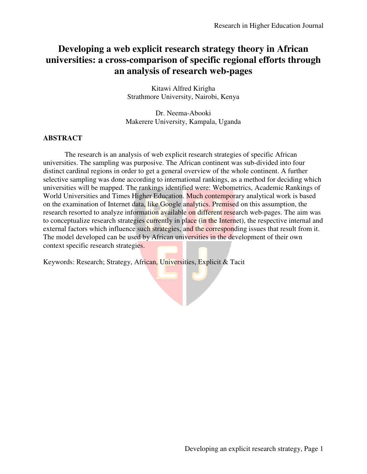# **Developing a web explicit research strategy theory in African universities: a cross-comparison of specific regional efforts through an analysis of research web-pages**

Kitawi Alfred Kirigha Strathmore University, Nairobi, Kenya

Dr. Neema-Abooki Makerere University, Kampala, Uganda

## **ABSTRACT**

 The research is an analysis of web explicit research strategies of specific African universities. The sampling was purposive. The African continent was sub-divided into four distinct cardinal regions in order to get a general overview of the whole continent. A further selective sampling was done according to international rankings, as a method for deciding which universities will be mapped. The rankings identified were: Webometrics, Academic Rankings of World Universities and Times Higher Education. Much contemporary analytical work is based on the examination of Internet data, like Google analytics. Premised on this assumption, the research resorted to analyze information available on different research web-pages. The aim was to conceptualize research strategies currently in place (in the Internet), the respective internal and external factors which influence such strategies, and the corresponding issues that result from it. The model developed can be used by African universities in the development of their own context specific research strategies.

Keywords: Research; Strategy, African, Universities, Explicit & Tacit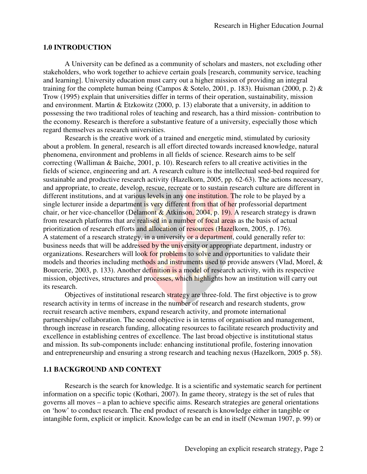### **1.0 INTRODUCTION**

 A University can be defined as a community of scholars and masters, not excluding other stakeholders, who work together to achieve certain goals [research, community service, teaching and learning]. University education must carry out a higher mission of providing an integral training for the complete human being (Campos & Sotelo, 2001, p. 183). Huisman (2000, p. 2) & Trow (1995) explain that universities differ in terms of their operation, sustainability, mission and environment. Martin & Etzkowitz (2000, p. 13) elaborate that a university, in addition to possessing the two traditional roles of teaching and research, has a third mission- contribution to the economy. Research is therefore a substantive feature of a university, especially those which regard themselves as research universities.

Research is the creative work of a trained and energetic mind, stimulated by curiosity about a problem. In general, research is all effort directed towards increased knowledge, natural phenomena, environment and problems in all fields of science. Research aims to be self correcting (Walliman & Baiche, 2001, p. 10). Research refers to all creative activities in the fields of science, engineering and art. A research culture is the intellectual seed-bed required for sustainable and productive research activity (Hazelkorn, 2005, pp. 62-63). The actions necessary, and appropriate, to create, develop, rescue, recreate or to sustain research culture are different in different institutions, and at various levels in any one institution. The role to be played by a single lecturer inside a department is very different from that of her professorial department chair, or her vice-chancellor (Delamont & Atkinson, 2004, p. 19). A research strategy is drawn from research platforms that are realised in a number of focal areas as the basis of actual prioritization of research efforts and allocation of resources (Hazelkorn, 2005, p. 176). A statement of a research strategy, in a university or a department, could generally refer to: business needs that will be addressed by the university or appropriate department, industry or organizations. Researchers will look for problems to solve and opportunities to validate their models and theories including methods and instruments used to provide answers (Vlad, Morel, & Bourcerie, 2003, p. 133). Another definition is a model of research activity, with its respective mission, objectives, structures and processes, which highlights how an institution will carry out its research.

Objectives of institutional research strategy are three-fold. The first objective is to grow research activity in terms of increase in the number of research and research students, grow recruit research active members, expand research activity, and promote international partnerships/ collaboration. The second objective is in terms of organisation and management, through increase in research funding, allocating resources to facilitate research productivity and excellence in establishing centres of excellence. The last broad objective is institutional status and mission. Its sub-components include: enhancing institutional profile, fostering innovation and entrepreneurship and ensuring a strong research and teaching nexus (Hazelkorn, 2005 p. 58).

### **1.1 BACKGROUND AND CONTEXT**

Research is the search for knowledge. It is a scientific and systematic search for pertinent information on a specific topic (Kothari, 2007). In game theory, strategy is the set of rules that governs all moves – a plan to achieve specific aims. Research strategies are general orientations on 'how' to conduct research. The end product of research is knowledge either in tangible or intangible form, explicit or implicit. Knowledge can be an end in itself (Newman 1907, p. 99) or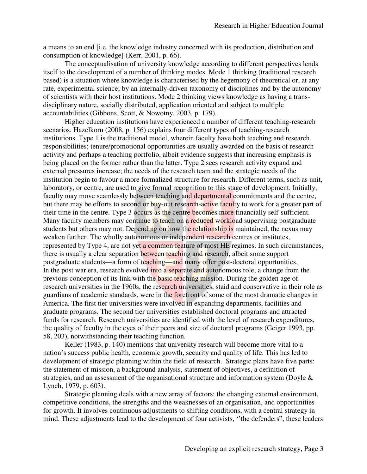a means to an end [i.e. the knowledge industry concerned with its production, distribution and consumption of knowledge] (Kerr, 2001, p. 66).

The conceptualisation of university knowledge according to different perspectives lends itself to the development of a number of thinking modes. Mode 1 thinking (traditional research based) is a situation where knowledge is characterised by the hegemony of theoretical or, at any rate, experimental science; by an internally-driven taxonomy of disciplines and by the autonomy of scientists with their host institutions. Mode 2 thinking views knowledge as having a transdisciplinary nature, socially distributed, application oriented and subject to multiple accountabilities (Gibbons, Scott, & Nowotny, 2003, p. 179).

Higher education institutions have experienced a number of different teaching-research scenarios. Hazelkorn (2008, p. 156) explains four different types of teaching-research institutions. Type 1 is the traditional model, wherein faculty have both teaching and research responsibilities; tenure/promotional opportunities are usually awarded on the basis of research activity and perhaps a teaching portfolio, albeit evidence suggests that increasing emphasis is being placed on the former rather than the latter. Type 2 sees research activity expand and external pressures increase; the needs of the research team and the strategic needs of the institution begin to favour a more formalized structure for research. Different terms, such as unit, laboratory, or centre, are used to give formal recognition to this stage of development. Initially, faculty may move seamlessly between teaching and departmental commitments and the centre, but there may be efforts to second or buy-out research-active faculty to work for a greater part of their time in the centre. Type 3 occurs as the centre becomes more financially self-sufficient. Many faculty members may continue to teach on a reduced workload supervising postgraduate students but others may not. Depending on how the relationship is maintained, the nexus may weaken further. The wholly autonomous or independent research centres or institutes, represented by Type 4, are not yet a common feature of most HE regimes. In such circumstances, there is usually a clear separation between teaching and research, albeit some support postgraduate students—a form of teaching—and many offer post-doctoral opportunities. In the post war era, research evolved into a separate and autonomous role, a change from the previous conception of its link with the **basic teaching mission**. During the golden age of research universities in the 1960s, the research universities, staid and conservative in their role as guardians of academic standards, were in the forefront of some of the most dramatic changes in America. The first tier universities were involved in expanding departments, facilities and graduate programs. The second tier universities established doctoral programs and attracted funds for research. Research universities are identified with the level of research expenditures, the quality of faculty in the eyes of their peers and size of doctoral programs (Geiger 1993, pp. 58, 203), notwithstanding their teaching function.

Keller (1983, p. 140) mentions that university research will become more vital to a nation's success public health, economic growth, security and quality of life. This has led to development of strategic planning within the field of research. Strategic plans have five parts: the statement of mission, a background analysis, statement of objectives, a definition of strategies, and an assessment of the organisational structure and information system (Doyle & Lynch, 1979, p. 603).

Strategic planning deals with a new array of factors: the changing external environment, competitive conditions, the strengths and the weaknesses of an organisation, and opportunities for growth. It involves continuous adjustments to shifting conditions, with a central strategy in mind. These adjustments lead to the development of four activists, ''the defenders", these leaders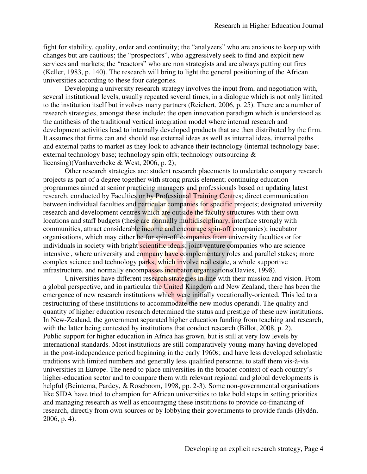fight for stability, quality, order and continuity; the "analyzers" who are anxious to keep up with changes but are cautious; the "prospectors", who aggressively seek to find and exploit new services and markets; the "reactors" who are non strategists and are always putting out fires (Keller, 1983, p. 140). The research will bring to light the general positioning of the African universities according to these four categories.

Developing a university research strategy involves the input from, and negotiation with, several institutional levels, usually repeated several times, in a dialogue which is not only limited to the institution itself but involves many partners (Reichert, 2006, p. 25). There are a number of research strategies, amongst these include: the open innovation paradigm which is understood as the antithesis of the traditional vertical integration model where internal research and development activities lead to internally developed products that are then distributed by the firm. It assumes that firms can and should use external ideas as well as internal ideas, internal paths and external paths to market as they look to advance their technology (internal technology base; external technology base; technology spin offs; technology outsourcing & licensing)(Vanhaverbeke & West, 2006, p. 2);

Other research strategies are: student research placements to undertake company research projects as part of a degree together with strong praxis element; continuing education programmes aimed at senior practicing managers and professionals based on updating latest research, conducted by Faculties or by Professional Training Centres; direct communication between individual faculties and particular companies for specific projects; designated university research and development centres which are outside the faculty structures with their own locations and staff budgets (these are normally multidisciplinary, interface strongly with communities, attract considerable income and encourage spin-off companies); incubator organisations, which may either be for spin-off companies from university faculties or for individuals in society with bright scientific ideals; joint venture companies who are science intensive, where university and company have complementary roles and parallel stakes; more complex science and technology parks, which involve real estate, a whole supportive infrastructure, and normally encompasses incubator organisations (Davies, 1998).

Universities have different research strategies in line with their mission and vision. From a global perspective, and in particular the United Kingdom and New Zealand, there has been the emergence of new research institutions which were initially vocationally-oriented. This led to a restructuring of these institutions to accommodate the new modus operandi. The quality and quantity of higher education research determined the status and prestige of these new institutions. In New-Zealand, the government separated higher education funding from teaching and research, with the latter being contested by institutions that conduct research (Billot, 2008, p. 2). Public support for higher education in Africa has grown, but is still at very low levels by international standards. Most institutions are still comparatively young-many having developed in the post-independence period beginning in the early 1960s; and have less developed scholastic traditions with limited numbers and generally less qualified personnel to staff them vis-à-vis universities in Europe. The need to place universities in the broader context of each country's higher-education sector and to compare them with relevant regional and global developments is helpful (Beintema, Pardey, & Roseboom, 1998, pp. 2-3). Some non-governmental organisations like SIDA have tried to champion for African universities to take bold steps in setting priorities and managing research as well as encouraging these institutions to provide co-financing of research, directly from own sources or by lobbying their governments to provide funds (Hydén, 2006, p. 4).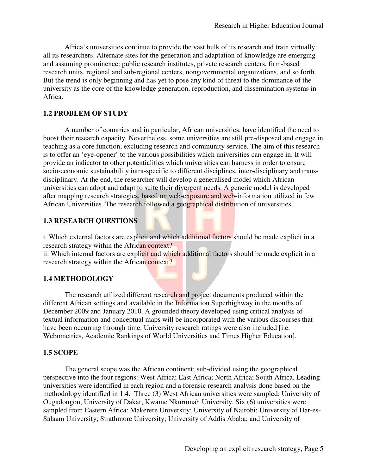Africa's universities continue to provide the vast bulk of its research and train virtually all its researchers. Alternate sites for the generation and adaptation of knowledge are emerging and assuming prominence: public research institutes, private research centers, firm-based research units, regional and sub-regional centers, nongovernmental organizations, and so forth. But the trend is only beginning and has yet to pose any kind of threat to the dominance of the university as the core of the knowledge generation, reproduction, and dissemination systems in Africa.

## **1.2 PROBLEM OF STUDY**

A number of countries and in particular, African universities, have identified the need to boost their research capacity. Nevertheless, some universities are still pre-disposed and engage in teaching as a core function, excluding research and community service. The aim of this research is to offer an 'eye-opener' to the various possibilities which universities can engage in. It will provide an indicator to other potentialities which universities can harness in order to ensure socio-economic sustainability intra-specific to different disciplines, inter-disciplinary and transdisciplinary. At the end, the researcher will develop a generalised model which African universities can adopt and adapt to suite their divergent needs. A generic model is developed after mapping research strategies, based on web-exposure and web-information utilized in few African Universities. The research followed a geographical distribution of universities.

## **1.3 RESEARCH QUESTIONS**

i. Which external factors are explicit and which additional factors should be made explicit in a research strategy within the African context?

ii. Which internal factors are explicit and which additional factors should be made explicit in a research strategy within the African context?

## **1.4 METHODOLOGY**

The research utilized different research and project documents produced within the different African settings and available in the Information Superhighway in the months of December 2009 and January 2010. A grounded theory developed using critical analysis of textual information and conceptual maps will be incorporated with the various discourses that have been occurring through time. University research ratings were also included [i.e. Webometrics, Academic Rankings of World Universities and Times Higher Education].

## **1.5 SCOPE**

The general scope was the African continent; sub-divided using the geographical perspective into the four regions: West Africa; East Africa; North Africa; South Africa. Leading universities were identified in each region and a forensic research analysis done based on the methodology identified in 1.4. Three (3) West African universities were sampled: University of Ougadougou, University of Dakar, Kwame Nkurumah University. Six (6) universities were sampled from Eastern Africa: Makerere University; University of Nairobi; University of Dar-es-Salaam University; Strathmore University; University of Addis Ababa; and University of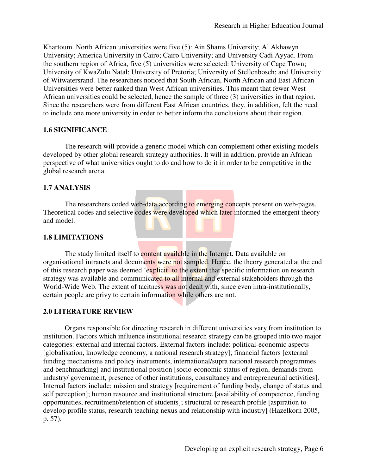Khartoum. North African universities were five (5): Ain Shams University; Al Akhawyn University; America University in Cairo; Cairo University; and University Cadi Ayyad. From the southern region of Africa, five (5) universities were selected: University of Cape Town; University of KwaZulu Natal; University of Pretoria; University of Stellenbosch; and University of Witwatersrand. The researchers noticed that South African, North African and East African Universities were better ranked than West African universities. This meant that fewer West African universities could be selected, hence the sample of three (3) universities in that region. Since the researchers were from different East African countries, they, in addition, felt the need to include one more university in order to better inform the conclusions about their region.

## **1.6 SIGNIFICANCE**

The research will provide a generic model which can complement other existing models developed by other global research strategy authorities. It will in addition, provide an African perspective of what universities ought to do and how to do it in order to be competitive in the global research arena.

## **1.7 ANALYSIS**

The researchers coded web-data according to emerging concepts present on web-pages. Theoretical codes and selective codes were developed which later informed the emergent theory and model.

### **1.8 LIMITATIONS**

The study limited itself to content available in the Internet. Data available on organisational intranets and documents were not sampled. Hence, the theory generated at the end of this research paper was deemed 'explicit' to the extent that specific information on research strategy was available and communicated to all internal and external stakeholders through the World-Wide Web. The extent of tacitness was not dealt with, since even intra-institutionally, certain people are privy to certain information while others are not.

### **2.0 LITERATURE REVIEW**

 Organs responsible for directing research in different universities vary from institution to institution. Factors which influence institutional research strategy can be grouped into two major categories: external and internal factors. External factors include: political-economic aspects [globalisation, knowledge economy, a national research strategy]; financial factors [external funding mechanisms and policy instruments, international/supra national research programmes and benchmarking] and institutional position [socio-economic status of region, demands from industry/ government, presence of other institutions, consultancy and entrepreneurial activities]. Internal factors include: mission and strategy [requirement of funding body, change of status and self perception]; human resource and institutional structure [availability of competence, funding opportunities, recruitment/retention of students]; structural or research profile [aspiration to develop profile status, research teaching nexus and relationship with industry] (Hazelkorn 2005, p. 57).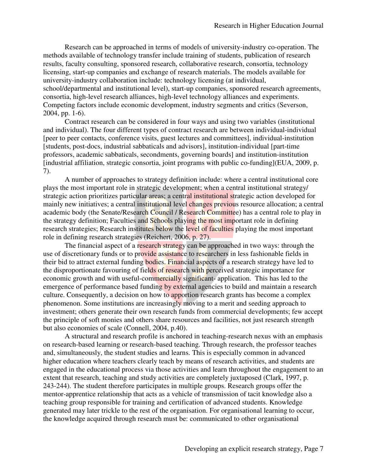Research can be approached in terms of models of university-industry co-operation. The methods available of technology transfer include training of students, publication of research results, faculty consulting, sponsored research, collaborative research, consortia, technology licensing, start-up companies and exchange of research materials. The models available for university-industry collaboration include: technology licensing (at individual, school/departmental and institutional level), start-up companies, sponsored research agreements, consortia, high-level research alliances, high-level technology alliances and experiments. Competing factors include economic development, industry segments and critics (Severson, 2004, pp. 1-6).

Contract research can be considered in four ways and using two variables (institutional and individual). The four different types of contract research are between individual-individual [peer to peer contacts, conference visits, guest lectures and committees], individual-institution [students, post-docs, industrial sabbaticals and advisors], institution-individual [part-time professors, academic sabbaticals, secondments, governing boards] and institution-institution [industrial affiliation, strategic consortia, joint programs with public co-funding](EUA, 2009, p. 7).

A number of approaches to strategy definition include: where a central institutional core plays the most important role in strategic development; when a central institutional strategy/ strategic action prioritizes particular areas; a central institutional strategic action developed for mainly new initiatives; a central institutional level changes previous resource allocation; a central academic body (the Senate/Research Council / Research Committee) has a central role to play in the strategy definition; Faculties and Schools playing the most important role in defining research strategies; Research institutes below the level of faculties playing the most important role in defining research strategies (Reichert, 2006, p. 27).

The financial aspect of a research strategy can be approached in two ways: through the use of discretionary funds or to provide assistance to researchers in less fashionable fields in their bid to attract external funding bodies. Financial aspects of a research strategy have led to the disproportionate favouring of fields of research with perceived strategic importance for economic growth and with useful-commercially significant- application. This has led to the emergence of performance based funding by external agencies to build and maintain a research culture. Consequently, a decision on how to apportion research grants has become a complex phenomenon. Some institutions are increasingly moving to a merit and seeding approach to investment; others generate their own research funds from commercial developments; few accept the principle of soft monies and others share resources and facilities, not just research strength but also economies of scale (Connell, 2004, p.40).

A structural and research profile is anchored in teaching-research nexus with an emphasis on research-based learning or research-based teaching. Through research, the professor teaches and, simultaneously, the student studies and learns. This is especially common in advanced higher education where teachers clearly teach by means of research activities, and students are engaged in the educational process via those activities and learn throughout the engagement to an extent that research, teaching and study activities are completely juxtaposed (Clark, 1997, p. 243-244). The student therefore participates in multiple groups. Research groups offer the mentor-apprentice relationship that acts as a vehicle of transmission of tacit knowledge also a teaching group responsible for training and certification of advanced students. Knowledge generated may later trickle to the rest of the organisation. For organisational learning to occur, the knowledge acquired through research must be: communicated to other organisational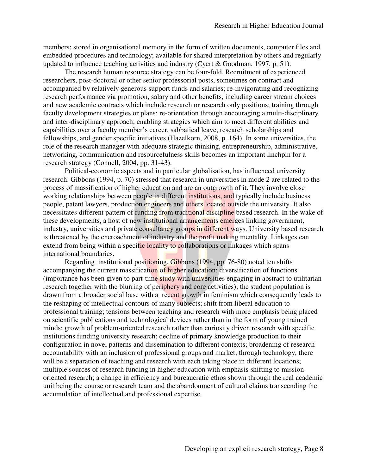members; stored in organisational memory in the form of written documents, computer files and embedded procedures and technology; available for shared interpretation by others and regularly updated to influence teaching activities and industry (Cyert & Goodman, 1997, p. 51).

The research human resource strategy can be four-fold. Recruitment of experienced researchers, post-doctoral or other senior professorial posts, sometimes on contract and accompanied by relatively generous support funds and salaries; re-invigorating and recognizing research performance via promotion, salary and other benefits, including career stream choices and new academic contracts which include research or research only positions; training through faculty development strategies or plans; re-orientation through encouraging a multi-disciplinary and inter-disciplinary approach; enabling strategies which aim to meet different abilities and capabilities over a faculty member's career, sabbatical leave, research scholarships and fellowships, and gender specific initiatives (Hazelkorn, 2008, p. 164). In some universities, the role of the research manager with adequate strategic thinking, entrepreneurship, administrative, networking, communication and resourcefulness skills becomes an important linchpin for a research strategy (Connell, 2004, pp. 31-43).

Political-economic aspects and in particular globalisation, has influenced university research. Gibbons (1994, p. 70) stressed that research in universities in mode 2 are related to the process of massification of higher education and are an outgrowth of it. They involve close working relationships between people in different institutions, and typically include business people, patent lawyers, production engineers and others located outside the university. It also necessitates different pattern of funding from traditional discipline based research. In the wake of these developments, a host of new institutional arrangements emerges linking government, industry, universities and private consultancy groups in different ways. University based research is threatened by the encroachment of industry and the profit making mentality. Linkages can extend from being within a specific locality to collaborations or linkages which spans international boundaries.

 Regarding institutional positioning, Gibbons (1994, pp. 76-80) noted ten shifts accompanying the current massification of higher education: diversification of functions (importance has been given to part-time study with universities engaging in abstract to utilitarian research together with the blurring of periphery and core activities); the student population is drawn from a broader social base with a recent growth in feminism which consequently leads to the reshaping of intellectual contours of many subjects; shift from liberal education to professional training; tensions between teaching and research with more emphasis being placed on scientific publications and technological devices rather than in the form of young trained minds; growth of problem-oriented research rather than curiosity driven research with specific institutions funding university research; decline of primary knowledge production to their configuration in novel patterns and dissemination to different contexts; broadening of research accountability with an inclusion of professional groups and market; through technology, there will be a separation of teaching and research with each taking place in different locations; multiple sources of research funding in higher education with emphasis shifting to missionoriented research; a change in efficiency and bureaucratic ethos shown through the real academic unit being the course or research team and the abandonment of cultural claims transcending the accumulation of intellectual and professional expertise.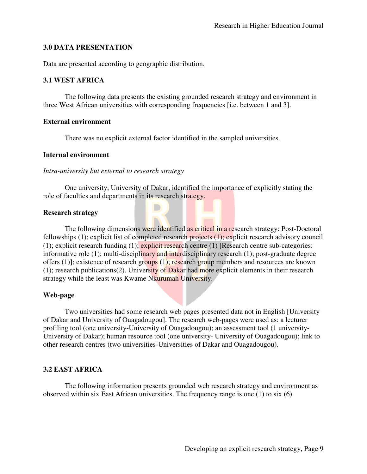## **3.0 DATA PRESENTATION**

Data are presented according to geographic distribution.

## **3.1 WEST AFRICA**

The following data presents the existing grounded research strategy and environment in three West African universities with corresponding frequencies [i.e. between 1 and 3].

### **External environment**

There was no explicit external factor identified in the sampled universities.

### **Internal environment**

*Intra-university but external to research strategy* 

One university, University of Dakar, identified the importance of explicitly stating the role of faculties and departments in its research strategy.

### **Research strategy**

The following dimensions were identified as critical in a research strategy: Post-Doctoral fellowships (1); explicit list of completed research projects (1); explicit research advisory council (1); explicit research funding (1); explicit research centre (1) [Research centre sub-categories: informative role (1); multi-disciplinary and interdisciplinary research (1); post-graduate degree offers (1)]; existence of research groups (1); research group members and resources are known (1); research publications(2). University of Dakar had more explicit elements in their research strategy while the least was Kwame Nkurumah University.

## **Web-page**

Two universities had some research web pages presented data not in English [University of Dakar and University of Ouagadougou]. The research web-pages were used as: a lecturer profiling tool (one university-University of Ouagadougou); an assessment tool (1 university-University of Dakar); human resource tool (one university- University of Ouagadougou); link to other research centres (two universities-Universities of Dakar and Ouagadougou).

## **3.2 EAST AFRICA**

The following information presents grounded web research strategy and environment as observed within six East African universities. The frequency range is one (1) to six (6).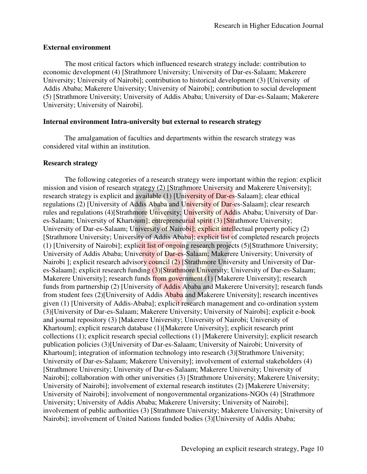### **External environment**

 The most critical factors which influenced research strategy include: contribution to economic development (4) [Strathmore University; University of Dar-es-Salaam; Makerere University; University of Nairobi]; contribution to historical development (3) [University of Addis Ababa; Makerere University; University of Nairobi]; contribution to social development (5) [Strathmore University; University of Addis Ababa; University of Dar-es-Salaam; Makerere University; University of Nairobi].

### **Internal environment Intra-university but external to research strategy**

The amalgamation of faculties and departments within the research strategy was considered vital within an institution.

### **Research strategy**

The following categories of a research strategy were important within the region: explicit mission and vision of research strategy (2) [Strathmore University and Makerere University]; research strategy is explicit and available (1) [University of Dar-es-Salaam]; clear ethical regulations (2) [University of Addis Ababa and University of Dar-es-Salaam]; clear research rules and regulations (4)[Strathmore University; University of Addis Ababa; University of Dares-Salaam; University of Khartoum]; entrepreneurial spirit (3) [Strathmore University; University of Dar-es-Salaam; University of Nairobil; explicit intellectual property policy (2) [Strathmore University; University of Addis Ababa]; explicit list of completed research projects (1) [University of Nairobi]; explicit list of ongoing research projects (5)[Strathmore University; University of Addis Ababa; University of Dar-es-Salaam; Makerere University; University of Nairobi ]; explicit research advisory council (2) [Strathmore University and University of Dares-Salaam]; explicit research funding (3)[Strathmore University; University of Dar-es-Salaam; Makerere University]; research funds from government (1) [Makerere University]; research funds from partnership (2) [University of Addis Ababa and Makerere University]; research funds from student fees (2)[University of Addis Ababa and Makerere University]; research incentives given (1) [University of Addis-Ababa]; explicit research management and co-ordination system (3)[University of Dar-es-Salaam; Makerere University; University of Nairobi]; explicit e-book and journal repository (3) [Makerere University; University of Nairobi; University of Khartoum]; explicit research database (1)[Makerere University]; explicit research print collections (1); explicit research special collections (1) [Makerere University]; explicit research publication policies (3)[University of Dar-es-Salaam; University of Nairobi; University of Khartoum]; integration of information technology into research (3)[Strathmore University; University of Dar-es-Salaam; Makerere University]; involvement of external stakeholders (4) [Strathmore University; University of Dar-es-Salaam; Makerere University; University of Nairobi]; collaboration with other universities (3) [Strathmore University; Makerere University; University of Nairobi]; involvement of external research institutes (2) [Makerere University; University of Nairobi]; involvement of nongovernmental organizations-NGOs (4) [Strathmore University; University of Addis Ababa; Makerere University; University of Nairobi]; involvement of public authorities (3) [Strathmore University; Makerere University; University of Nairobi]; involvement of United Nations funded bodies (3)[University of Addis Ababa;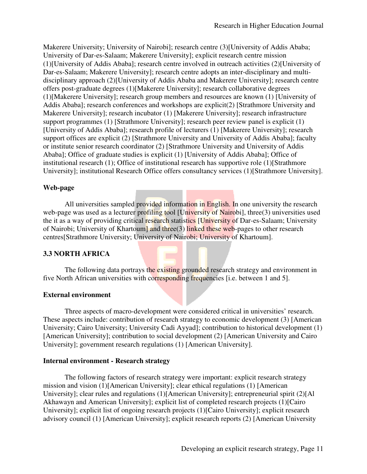Makerere University; University of Nairobi]; research centre (3)[University of Addis Ababa; University of Dar-es-Salaam; Makerere University]; explicit research centre mission (1)[University of Addis Ababa]; research centre involved in outreach activities (2)[University of Dar-es-Salaam; Makerere University]; research centre adopts an inter-disciplinary and multidisciplinary approach (2)[University of Addis Ababa and Makerere University]; research centre offers post-graduate degrees (1)[Makerere University]; research collaborative degrees (1)[Makerere University]; research group members and resources are known (1) [University of Addis Ababa]; research conferences and workshops are explicit(2) [Strathmore University and Makerere University]; research incubator (1) [Makerere University]; research infrastructure support programmes (1) [Strathmore University]; research peer review panel is explicit (1) [University of Addis Ababa]; research profile of lecturers (1) [Makerere University]; research support offices are explicit (2) [Strathmore University and University of Addis Ababa]; faculty or institute senior research coordinator (2) [Strathmore University and University of Addis Ababa]; Office of graduate studies is explicit (1) [University of Addis Ababa]; Office of institutional research (1); Office of institutional research has supportive role (1)[Strathmore University]; institutional Research Office offers consultancy services (1)[Strathmore University].

## **Web-page**

All universities sampled provided information in English. In one university the research web-page was used as a lecturer profiling tool [University of Nairobi], three(3) universities used the it as a way of providing critical research statistics [University of Dar-es-Salaam; University of Nairobi; University of Khartoum] and three(3) linked these web-pages to other research centres[Strathmore University; University of Nairobi; University of Khartoum].

## **3.3 NORTH AFRICA**

The following data portrays the existing grounded research strategy and environment in five North African universities with corresponding frequencies [i.e. between 1 and 5].

## **External environment**

Three aspects of macro-development were considered critical in universities' research. These aspects include: contribution of research strategy to economic development (3) [American University; Cairo University; University Cadi Ayyad]; contribution to historical development (1) [American University]; contribution to social development (2) [American University and Cairo University]; government research regulations (1) [American University].

## **Internal environment - Research strategy**

The following factors of research strategy were important: explicit research strategy mission and vision (1)[American University]; clear ethical regulations (1) [American University]; clear rules and regulations (1)[American University]; entrepreneurial spirit (2)[Al Akhawayn and American University]; explicit list of completed research projects (1)[Cairo University]; explicit list of ongoing research projects (1)[Cairo University]; explicit research advisory council (1) [American University]; explicit research reports (2) [American University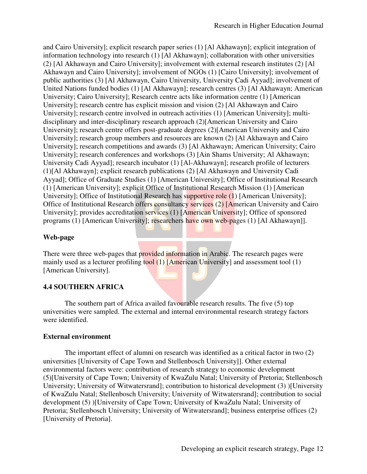and Cairo University]; explicit research paper series (1) [Al Akhawayn]; explicit integration of information technology into research (1) [Al Akhawayn]; collaboration with other universities (2) [Al Akhawayn and Cairo University]; involvement with external research institutes (2) [Al Akhawayn and Cairo University]; involvement of NGOs (1) [Cairo University]; involvement of public authorities (3) [Al Akhawayn, Cairo University, University Cadi Ayyad]; involvement of United Nations funded bodies (1) [Al Akhawayn]; research centres (3) [Al Akhawayn; American University; Cairo University]; Research centre acts like information centre (1) [American University]; research centre has explicit mission and vision (2) [Al Akhawayn and Cairo University]; research centre involved in outreach activities (1) [American University]; multidisciplinary and inter-disciplinary research approach (2)[American University and Cairo University]; research centre offers post-graduate degrees (2)[American University and Cairo University]; research group members and resources are known (2) [Al Akhawayn and Cairo University]; research competitions and awards (3) [Al Akhawayn; American University; Cairo University]; research conferences and workshops (3) [Ain Shams University; Al Akhawayn; University Cadi Ayyad]; research incubator (1) [Al-Akhawayn]; research profile of lecturers (1)[Al Akhawayn]; explicit research publications (2) [Al Akhawayn and University Cadi Ayyad]; Office of Graduate Studies (1) [American University]; Office of Institutional Research (1) [American University]; explicit Office of Institutional Research Mission (1) [American University]; Office of Institutional Research has supportive role (1) [American University]; Office of Institutional Research offers consultancy services (2) [American University and Cairo University]; provides accreditation services (1) [American University]; Office of sponsored programs (1) [American University]; researchers have own web-pages (1) [Al Akhawayn]].

## **Web-page**

There were three web-pages that provided information in Arabic. The research pages were mainly used as a lecturer profiling tool  $(1)$  [American University] and assessment tool  $(1)$ [American University].

## **4.4 SOUTHERN AFRICA**

The southern part of Africa availed favourable research results. The five (5) top universities were sampled. The external and internal environmental research strategy factors were identified.

## **External environment**

The important effect of alumni on research was identified as a critical factor in two (2) universities [University of Cape Town and Stellenbosch University]]. Other external environmental factors were: contribution of research strategy to economic development (5)[University of Cape Town; University of KwaZulu Natal; University of Pretoria; Stellenbosch University; University of Witwatersrand]; contribution to historical development (3) )[University of KwaZulu Natal; Stellenbosch University; University of Witwatersrand]; contribution to social development (5) )[University of Cape Town; University of KwaZulu Natal; University of Pretoria; Stellenbosch University; University of Witwatersrand]; business enterprise offices (2) [University of Pretoria].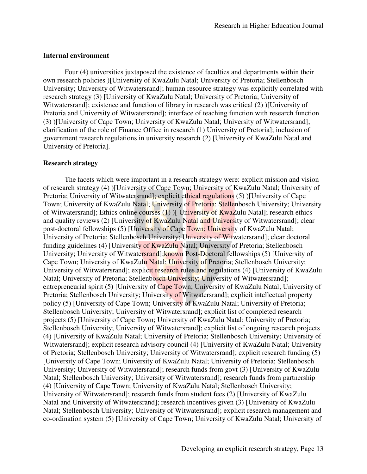### **Internal environment**

Four (4) universities juxtaposed the existence of faculties and departments within their own research policies )[University of KwaZulu Natal; University of Pretoria; Stellenbosch University; University of Witwatersrand]; human resource strategy was explicitly correlated with research strategy (3) [University of KwaZulu Natal; University of Pretoria; University of Witwatersrand]; existence and function of library in research was critical (2) )[University of Pretoria and University of Witwatersrand]; interface of teaching function with research function (3) )[University of Cape Town; University of KwaZulu Natal; University of Witwatersrand]; clarification of the role of Finance Office in research (1) University of Pretoria]; inclusion of government research regulations in university research (2) [University of KwaZulu Natal and University of Pretoria].

### **Research strategy**

The facets which were important in a research strategy were: explicit mission and vision of research strategy (4) )[University of Cape Town; University of KwaZulu Natal; University of Pretoria; University of Witwatersrand]; explicit ethical regulations (5) )[University of Cape Town; University of KwaZulu Natal; University of Pretoria; Stellenbosch University; University of Witwatersrand]; Ethics online courses  $(1)$  ) University of KwaZulu Natal]; research ethics and quality reviews (2) [University of KwaZulu Natal and University of Witwatersrand]; clear post-doctoral fellowships (5) [University of Cape Town; University of KwaZulu Natal; University of Pretoria; Stellenbosch University; University of Witwatersrand]; clear doctoral funding guidelines (4) [University of KwaZulu Natal; University of Pretoria; Stellenbosch University; University of Witwatersrand]; known Post-Doctoral fellowships (5) [University of Cape Town; University of KwaZulu Natal; University of Pretoria; Stellenbosch University; University of Witwatersrand]; explicit research rules and regulations (4) [University of KwaZulu Natal; University of Pretoria; Stellenbosch University; University of Witwatersrand]; entrepreneurial spirit (5) [University of Cape Town; University of KwaZulu Natal; University of Pretoria; Stellenbosch University; University of Witwatersrand]; explicit intellectual property policy (5) [University of Cape Town; University of KwaZulu Natal; University of Pretoria; Stellenbosch University; University of Witwatersrand]; explicit list of completed research projects (5) [University of Cape Town; University of KwaZulu Natal; University of Pretoria; Stellenbosch University; University of Witwatersrand]; explicit list of ongoing research projects (4) [University of KwaZulu Natal; University of Pretoria; Stellenbosch University; University of Witwatersrand]; explicit research advisory council (4) [University of KwaZulu Natal; University of Pretoria; Stellenbosch University; University of Witwatersrand]; explicit research funding (5) [University of Cape Town; University of KwaZulu Natal; University of Pretoria; Stellenbosch University; University of Witwatersrand]; research funds from govt (3) [University of KwaZulu Natal; Stellenbosch University; University of Witwatersrand]; research funds from partnership (4) [University of Cape Town; University of KwaZulu Natal; Stellenbosch University; University of Witwatersrand]; research funds from student fees (2) [University of KwaZulu Natal and University of Witwatersrand]; research incentives given (3) [University of KwaZulu Natal; Stellenbosch University; University of Witwatersrand]; explicit research management and co-ordination system (5) [University of Cape Town; University of KwaZulu Natal; University of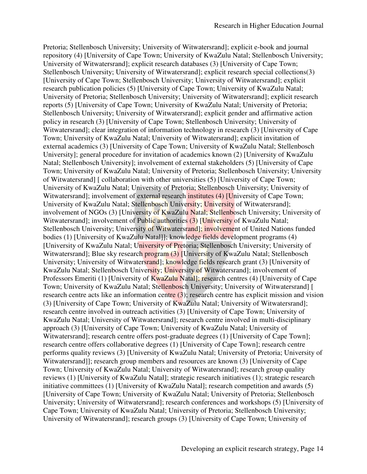Pretoria; Stellenbosch University; University of Witwatersrand]; explicit e-book and journal repository (4) [University of Cape Town; University of KwaZulu Natal; Stellenbosch University; University of Witwatersrand]; explicit research databases (3) [University of Cape Town; Stellenbosch University; University of Witwatersrand]; explicit research special collections(3) [University of Cape Town; Stellenbosch University; University of Witwatersrand]; explicit research publication policies (5) [University of Cape Town; University of KwaZulu Natal; University of Pretoria; Stellenbosch University; University of Witwatersrand]; explicit research reports (5) [University of Cape Town; University of KwaZulu Natal; University of Pretoria; Stellenbosch University; University of Witwatersrand]; explicit gender and affirmative action policy in research (3) [University of Cape Town; Stellenbosch University; University of Witwatersrand]; clear integration of information technology in research (3) [University of Cape Town; University of KwaZulu Natal; University of Witwatersrand]; explicit invitation of external academics (3) [University of Cape Town; University of KwaZulu Natal; Stellenbosch University]; general procedure for invitation of academics known (2) [University of KwaZulu Natal; Stellenbosch University]; involvement of external stakeholders (5) [University of Cape Town; University of KwaZulu Natal; University of Pretoria; Stellenbosch University; University of Witwatersrand] [ collaboration with other universities (5) [University of Cape Town; University of KwaZulu Natal; University of Pretoria; Stellenbosch University; University of Witwatersrand]; involvement of external research institutes (4) [University of Cape Town; University of KwaZulu Natal; Stellenbosch University; University of Witwatersrand]; involvement of NGOs (3) [University of KwaZulu Natal; Stellenbosch University; University of Witwatersrand]; involvement of Public authorities (3) [University of KwaZulu Natal; Stellenbosch University; University of Witwatersrand]; involvement of United Nations funded bodies (1) [University of KwaZulu Natal]]; knowledge fields development programs (4) [University of KwaZulu Natal; University of Pretoria; Stellenbosch University; University of Witwatersrand]; Blue sky research program (3) [University of KwaZulu Natal; Stellenbosch University; University of Witwatersrand]; knowledge fields research grant (3) [University of KwaZulu Natal; Stellenbosch University; University of Witwatersrand]; involvement of Professors Emeriti (1) [University of KwaZulu Natal]; research centres (4) [University of Cape Town; University of KwaZulu Natal; Stellenbosch University; University of Witwatersrand] [ research centre acts like an information centre (3); research centre has explicit mission and vision (3) [University of Cape Town; University of KwaZulu Natal; University of Witwatersrand]; research centre involved in outreach activities (3) [University of Cape Town; University of KwaZulu Natal; University of Witwatersrand]; research centre involved in multi-disciplinary approach (3) [University of Cape Town; University of KwaZulu Natal; University of Witwatersrand]; research centre offers post-graduate degrees (1) [University of Cape Town]; research centre offers collaborative degrees (1) [University of Cape Town]; research centre performs quality reviews (3) [University of KwaZulu Natal; University of Pretoria; University of Witwatersrand]]; research group members and resources are known (3) [University of Cape Town; University of KwaZulu Natal; University of Witwatersrand]; research group quality reviews (1) [University of KwaZulu Natal]; strategic research initiatives (1); strategic research initiative committees (1) [University of KwaZulu Natal]; research competition and awards (5) [University of Cape Town; University of KwaZulu Natal; University of Pretoria; Stellenbosch University; University of Witwatersrand]; research conferences and workshops (5) [University of Cape Town; University of KwaZulu Natal; University of Pretoria; Stellenbosch University; University of Witwatersrand]; research groups (3) [University of Cape Town; University of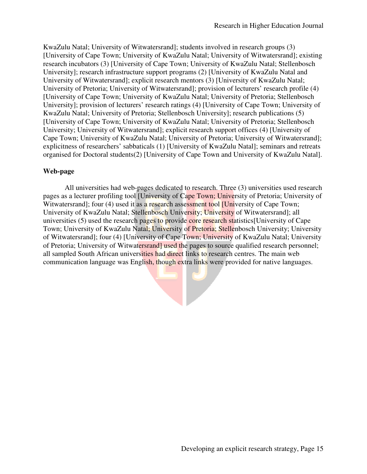KwaZulu Natal; University of Witwatersrand]; students involved in research groups (3) [University of Cape Town; University of KwaZulu Natal; University of Witwatersrand]; existing research incubators (3) [University of Cape Town; University of KwaZulu Natal; Stellenbosch University]; research infrastructure support programs (2) [University of KwaZulu Natal and University of Witwatersrand]; explicit research mentors (3) [University of KwaZulu Natal; University of Pretoria; University of Witwatersrand]; provision of lecturers' research profile (4) [University of Cape Town; University of KwaZulu Natal; University of Pretoria; Stellenbosch University]; provision of lecturers' research ratings (4) [University of Cape Town; University of KwaZulu Natal; University of Pretoria; Stellenbosch University]; research publications (5) [University of Cape Town; University of KwaZulu Natal; University of Pretoria; Stellenbosch University; University of Witwatersrand]; explicit research support offices (4) [University of Cape Town; University of KwaZulu Natal; University of Pretoria; University of Witwatersrand]; explicitness of researchers' sabbaticals (1) [University of KwaZulu Natal]; seminars and retreats organised for Doctoral students(2) [University of Cape Town and University of KwaZulu Natal].

### **Web-page**

All universities had web-pages dedicated to research. Three (3) universities used research pages as a lecturer profiling tool [University of Cape Town; University of Pretoria; University of Witwatersrand]; four (4) used it as a research assessment tool **[University of Cape Town**; University of KwaZulu Natal; Stellenbosch University; University of Witwatersrand]; all universities (5) used the research pages to provide core research statistics [University of Cape Town; University of KwaZulu Natal; University of Pretoria; Stellenbosch University; University of Witwatersrand]; four (4) [University of Cape Town; University of KwaZulu Natal; University of Pretoria; University of Witwatersrand] used the pages to source qualified research personnel; all sampled South African universities had direct links to research centres. The main web communication language was English, though extra links were provided for native languages.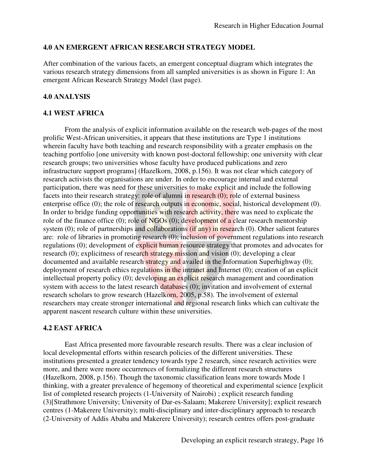### **4.0 AN EMERGENT AFRICAN RESEARCH STRATEGY MODEL**

After combination of the various facets, an emergent conceptual diagram which integrates the various research strategy dimensions from all sampled universities is as shown in Figure 1: An emergent African Research Strategy Model (last page).

### **4.0 ANALYSIS**

### **4.1 WEST AFRICA**

From the analysis of explicit information available on the research web-pages of the most prolific West-African universities, it appears that these institutions are Type 1 institutions wherein faculty have both teaching and research responsibility with a greater emphasis on the teaching portfolio [one university with known post-doctoral fellowship; one university with clear research groups; two universities whose faculty have produced publications and zero infrastructure support programs] (Hazelkorn, 2008, p.156). It was not clear which category of research activists the organisations are under. In order to encourage internal and external participation, there was need for these universities to make explicit and include the following facets into their research strategy: role of alumni in research (0); role of external business enterprise office (0); the role of research outputs in economic, social, historical development (0). In order to bridge funding opportunities with research activity, there was need to explicate the role of the finance office (0); role of  $NGOs(0)$ ; development of a clear research mentorship system  $(0)$ ; role of partnerships and collaborations (if any) in research  $(0)$ . Other salient features are: role of libraries in promoting research (0); inclusion of government regulations into research regulations (0); development of explicit human resource strategy that promotes and advocates for research (0); explicitness of research strategy mission and vision (0); developing a clear documented and available research strategy and availed in the Information Superhighway (0); deployment of research ethics regulations in the intranet and Internet (0); creation of an explicit intellectual property policy (0); developing an explicit research management and coordination system with access to the latest research databases (0); invitation and involvement of external research scholars to grow research (Hazelkorn, 2005, p.58). The involvement of external researchers may create stronger international and regional research links which can cultivate the apparent nascent research culture within these universities.

### **4.2 EAST AFRICA**

East Africa presented more favourable research results. There was a clear inclusion of local developmental efforts within research policies of the different universities. These institutions presented a greater tendency towards type 2 research, since research activities were more, and there were more occurrences of formalizing the different research structures (Hazelkorn, 2008, p.156). Though the taxonomic classification leans more towards Mode 1 thinking, with a greater prevalence of hegemony of theoretical and experimental science [explicit list of completed research projects (1-University of Nairobi) ; explicit research funding (3)[Strathmore University; University of Dar-es-Salaam; Makerere University]; explicit research centres (1-Makerere University); multi-disciplinary and inter-disciplinary approach to research (2-University of Addis Ababa and Makerere University); research centres offers post-graduate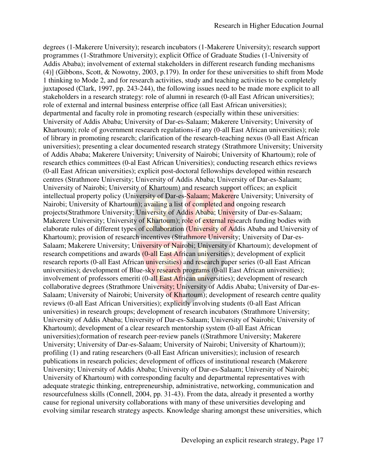degrees (1-Makerere University); research incubators (1-Makerere University); research support programmes (1-Strathmore University); explicit Office of Graduate Studies (1-University of Addis Ababa); involvement of external stakeholders in different research funding mechanisms (4)] (Gibbons, Scott, & Nowotny, 2003, p.179). In order for these universities to shift from Mode 1 thinking to Mode 2, and for research activities, study and teaching activities to be completely juxtaposed (Clark, 1997, pp. 243-244), the following issues need to be made more explicit to all stakeholders in a research strategy: role of alumni in research (0-all East African universities); role of external and internal business enterprise office (all East African universities); departmental and faculty role in promoting research (especially within these universities: University of Addis Ababa; University of Dar-es-Salaam; Makerere University; University of Khartoum); role of government research regulations-if any (0-all East African universities); role of library in promoting research; clarification of the research-teaching nexus (0-all East African universities); presenting a clear documented research strategy (Strathmore University; University of Addis Ababa; Makerere University; University of Nairobi; University of Khartoum); role of research ethics committees (0-al East African Universities); conducting research ethics reviews (0-all East African universities); explicit post-doctoral fellowships developed within research centres (Strathmore University; University of Addis Ababa; University of Dar-es-Salaam; University of Nairobi; University of Khartoum) and research support offices; an explicit intellectual property policy (University of Dar-es-Salaam; Makerere University; University of Nairobi; University of Khartoum); availing a list of completed and ongoing research projects(Strathmore University; University of Addis Ababa; University of Dar-es-Salaam; Makerere University; University of Khartoum); role of external research funding bodies with elaborate rules of different types of collaboration (University of Addis Ababa and University of Khartoum); provision of research incentives (Strathmore University; University of Dar-es-Salaam; Makerere University; University of Nairobi; University of Khartoum); development of research competitions and awards (0-all East African universities); development of explicit research reports (0-all East African universities) and research paper series (0-all East African universities); development of Blue-sky research programs (0-all East African universities); involvement of professors emeriti (0-all East African universities); development of research collaborative degrees (Strathmore University; University of Addis Ababa; University of Dar-es-Salaam; University of Nairobi; University of Khartoum); development of research centre quality reviews (0-all East African Universities); explicitly involving students (0-all East African universities) in research groups; development of research incubators (Strathmore University; University of Addis Ababa; University of Dar-es-Salaam; University of Nairobi; University of Khartoum); development of a clear research mentorship system (0-all East African universities);formation of research peer-review panels ((Strathmore University; Makerere University; University of Dar-es-Salaam; University of Nairobi; University of Khartoum)); profiling (1) and rating researchers (0-all East African universities); inclusion of research publications in research policies; development of offices of institutional research (Makerere University; University of Addis Ababa; University of Dar-es-Salaam; University of Nairobi; University of Khartoum) with corresponding faculty and departmental representatives with adequate strategic thinking, entrepreneurship, administrative, networking, communication and resourcefulness skills (Connell, 2004, pp. 31-43). From the data, already it presented a worthy cause for regional university collaborations with many of these universities developing and evolving similar research strategy aspects. Knowledge sharing amongst these universities, which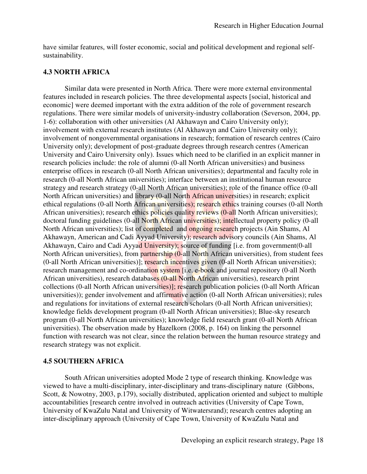have similar features, will foster economic, social and political development and regional selfsustainability.

### **4.3 NORTH AFRICA**

Similar data were presented in North Africa. There were more external environmental features included in research policies. The three developmental aspects [social, historical and economic] were deemed important with the extra addition of the role of government research regulations. There were similar models of university-industry collaboration (Severson, 2004, pp. 1-6): collaboration with other universities (Al Akhawayn and Cairo University only); involvement with external research institutes (Al Akhawayn and Cairo University only); involvement of nongovernmental organisations in research; formation of research centres (Cairo University only); development of post-graduate degrees through research centres (American University and Cairo University only). Issues which need to be clarified in an explicit manner in research policies include: the role of alumni (0-all North African universities) and business enterprise offices in research (0-all North African universities); departmental and faculty role in research (0-all North African universities); interface between an institutional human resource strategy and research strategy (0-all North African universities); role of the finance office (0-all North African universities) and library (0-all North African universities) in research; explicit ethical regulations (0-all North African universities); research ethics training courses (0-all North African universities); research ethics policies quality reviews (0-all North African universities); doctoral funding guidelines (0-all North African universities); intellectual property policy (0-all North African universities); list of completed and ongoing research projects (Ain Shams, Al Akhawayn, American and Cadi Ayyad University); research advisory councils (Ain Shams, Al Akhawayn, Cairo and Cadi Ayyad University); source of funding [i.e. from government(0-all North African universities), from partnership (0-all North African universities), from student fees (0-all North African universities)]; research incentives given (0-all North African universities); research management and co-ordination system [i.e. e-book and journal repository (0-all North African universities), research databases (0-all North African universities), research print collections (0-all North African universities)]; research publication policies (0-all North African universities)); gender involvement and affirmative action (0-all North African universities); rules and regulations for invitations of external research scholars (0-all North African universities); knowledge fields development program (0-all North African universities); Blue-sky research program (0-all North African universities); knowledge field research grant (0-all North African universities). The observation made by Hazelkorn (2008, p. 164) on linking the personnel function with research was not clear, since the relation between the human resource strategy and research strategy was not explicit.

### **4.5 SOUTHERN AFRICA**

South African universities adopted Mode 2 type of research thinking. Knowledge was viewed to have a multi-disciplinary, inter-disciplinary and trans-disciplinary nature (Gibbons, Scott, & Nowotny, 2003, p.179), socially distributed, application oriented and subject to multiple accountabilities [research centre involved in outreach activities (University of Cape Town, University of KwaZulu Natal and University of Witwatersrand); research centres adopting an inter-disciplinary approach (University of Cape Town, University of KwaZulu Natal and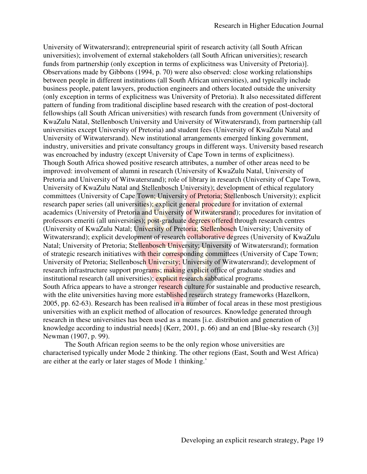University of Witwatersrand); entrepreneurial spirit of research activity (all South African universities); involvement of external stakeholders (all South African universities); research funds from partnership (only exception in terms of explicitness was University of Pretoria)]. Observations made by Gibbons (1994, p. 70) were also observed: close working relationships between people in different institutions (all South African universities), and typically include business people, patent lawyers, production engineers and others located outside the university (only exception in terms of explicitness was University of Pretoria). It also necessitated different pattern of funding from traditional discipline based research with the creation of post-doctoral fellowships (all South African universities) with research funds from government (University of KwaZulu Natal, Stellenbosch University and University of Witwatersrand), from partnership (all universities except University of Pretoria) and student fees (University of KwaZulu Natal and University of Witwatersrand). New institutional arrangements emerged linking government, industry, universities and private consultancy groups in different ways. University based research was encroached by industry (except University of Cape Town in terms of explicitness). Though South Africa showed positive research attributes, a number of other areas need to be improved: involvement of alumni in research (University of KwaZulu Natal, University of Pretoria and University of Witwatersrand); role of library in research (University of Cape Town, University of KwaZulu Natal and Stellenbosch University); development of ethical regulatory committees (University of Cape Town; University of Pretoria; Stellenbosch University); explicit research paper series (all universities); explicit general procedure for invitation of external academics (University of Pretoria and University of Witwatersrand); procedures for invitation of professors emeriti (all universities); post-graduate degrees offered through research centres (University of KwaZulu Natal; University of Pretoria; Stellenbosch University; University of Witwatersrand); explicit development of research collaborative degrees (University of KwaZulu Natal; University of Pretoria; Stellenbosch University; University of Witwatersrand); formation of strategic research initiatives with their corresponding committees (University of Cape Town; University of Pretoria; Stellenbosch University; University of Witwatersrand); development of research infrastructure support programs; making explicit office of graduate studies and institutional research (all universities); explicit research sabbatical programs. South Africa appears to have a stronger research culture for sustainable and productive research, with the elite universities having more established research strategy frameworks (Hazelkorn, 2005, pp. 62-63). Research has been realised in a number of focal areas in these most prestigious universities with an explicit method of allocation of resources. Knowledge generated through research in these universities has been used as a means [i.e. distribution and generation of knowledge according to industrial needs] (Kerr, 2001, p. 66) and an end [Blue-sky research (3)] Newman (1907, p. 99).

The South African region seems to be the only region whose universities are characterised typically under Mode 2 thinking. The other regions (East, South and West Africa) are either at the early or later stages of Mode 1 thinking.'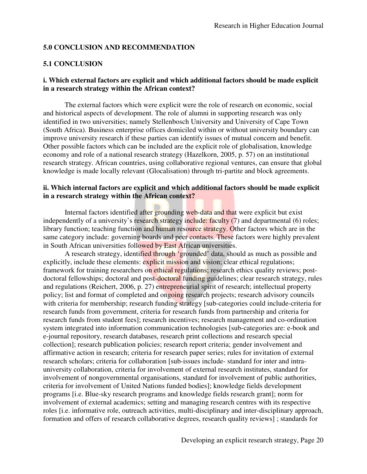### **5.0 CONCLUSION AND RECOMMENDATION**

### **5.1 CONCLUSION**

### **i. Which external factors are explicit and which additional factors should be made explicit in a research strategy within the African context?**

The external factors which were explicit were the role of research on economic, social and historical aspects of development. The role of alumni in supporting research was only identified in two universities; namely Stellenbosch University and University of Cape Town (South Africa). Business enterprise offices domiciled within or without university boundary can improve university research if these parties can identify issues of mutual concern and benefit. Other possible factors which can be included are the explicit role of globalisation, knowledge economy and role of a national research strategy (Hazelkorn, 2005, p. 57) on an institutional research strategy. African countries, using collaborative regional ventures, can ensure that global knowledge is made locally relevant (Glocalisation) through tri-partite and block agreements.

### **ii. Which internal factors are explicit and which additional factors should be made explicit in a research strategy within the African context?**

Internal factors identified after grounding web-data and that were explicit but exist independently of a university's research strategy include: faculty (7) and departmental (6) roles; library function; teaching function and human resource strategy. Other factors which are in the same category include: governing boards and peer contacts. These factors were highly prevalent in South African universities followed by East African universities.

A research strategy, identified through 'grounded' data, should as much as possible and explicitly, include these elements: explicit mission and vision; clear ethical regulations; framework for training researchers on ethical regulations; research ethics quality reviews; postdoctoral fellowships; doctoral and post-doctoral funding guidelines; clear research strategy, rules and regulations (Reichert, 2006, p. 27) entrepreneurial spirit of research; intellectual property policy; list and format of completed and ongoing research projects; research advisory councils with criteria for membership; research funding strategy [sub-categories could include-criteria for research funds from government, criteria for research funds from partnership and criteria for research funds from student fees]; research incentives; research management and co-ordination system integrated into information communication technologies [sub-categories are: e-book and e-journal repository, research databases, research print collections and research special collection]; research publication policies; research report criteria; gender involvement and affirmative action in research; criteria for research paper series; rules for invitation of external research scholars; criteria for collaboration [sub-issues include- standard for inter and intrauniversity collaboration, criteria for involvement of external research institutes, standard for involvement of nongovernmental organisations, standard for involvement of public authorities, criteria for involvement of United Nations funded bodies]; knowledge fields development programs [i.e. Blue-sky research programs and knowledge fields research grant]; norm for involvement of external academics; setting and managing research centres with its respective roles [i.e. informative role, outreach activities, multi-disciplinary and inter-disciplinary approach, formation and offers of research collaborative degrees, research quality reviews] ; standards for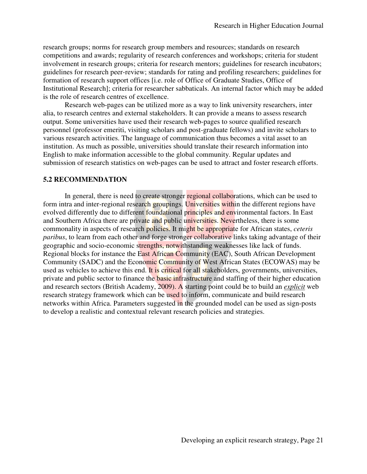research groups; norms for research group members and resources; standards on research competitions and awards; regularity of research conferences and workshops; criteria for student involvement in research groups; criteria for research mentors; guidelines for research incubators; guidelines for research peer-review; standards for rating and profiling researchers; guidelines for formation of research support offices [i.e. role of Office of Graduate Studies, Office of Institutional Research]; criteria for researcher sabbaticals. An internal factor which may be added is the role of research centres of excellence.

Research web-pages can be utilized more as a way to link university researchers, inter alia, to research centres and external stakeholders. It can provide a means to assess research output. Some universities have used their research web-pages to source qualified research personnel (professor emeriti, visiting scholars and post-graduate fellows) and invite scholars to various research activities. The language of communication thus becomes a vital asset to an institution. As much as possible, universities should translate their research information into English to make information accessible to the global community. Regular updates and submission of research statistics on web-pages can be used to attract and foster research efforts.

### **5.2 RECOMMENDATION**

In general, there is need to create stronger regional collaborations, which can be used to form intra and inter-regional research groupings. Universities within the different regions have evolved differently due to different foundational principles and environmental factors. In East and Southern Africa there are private and public universities. Nevertheless, there is some commonality in aspects of research policies. It might be appropriate for African states, *ceteris paribus*, to learn from each other and forge stronger collaborative links taking advantage of their geographic and socio-economic strengths, notwithstanding weaknesses like lack of funds. Regional blocks for instance the East African Community (EAC), South African Development Community (SADC) and the Economic Community of West African States (ECOWAS) may be used as vehicles to achieve this end. It is critical for all stakeholders, governments, universities, private and public sector to finance the **basic infrastructure** and staffing of their higher education and research sectors (British Academy, 2009). A starting point could be to build an *explicit* web research strategy framework which can be used to inform, communicate and build research networks within Africa. Parameters suggested in the grounded model can be used as sign-posts to develop a realistic and contextual relevant research policies and strategies.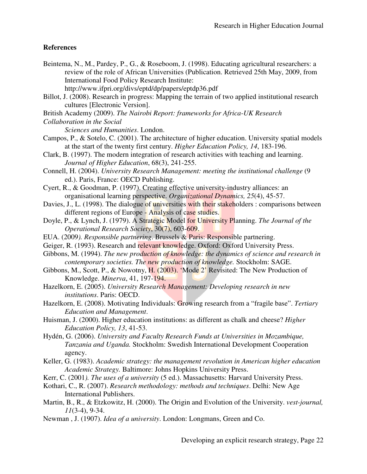## **References**

Beintema, N., M., Pardey, P., G., & Roseboom, J. (1998). Educating agricultural researchers: a review of the role of African Universities (Publication. Retrieved 25th May, 2009, from International Food Policy Research Institute:

http://www.ifpri.org/divs/eptd/dp/papers/eptdp36.pdf

- Billot, J. (2008). Research in progress: Mapping the terrain of two applied institutional research cultures [Electronic Version].
- British Academy (2009). *The Nairobi Report: frameworks for Africa-UK Research*

```
Collaboration in the Social
```
*Sciences and Humanities*. London.

- Campos, P., & Sotelo, C. (2001). The architecture of higher education. University spatial models at the start of the twenty first century. *Higher Education Policy, 14*, 183-196.
- Clark, B. (1997). The modern integration of research activities with teaching and learning. *Journal of Higher Education*, 68(3), 241-255.
- Connell, H. (2004). *University Research Management: meeting the institutional challenge* (9 ed.). Paris, France: OECD Publishing.
- Cyert, R., & Goodman, P. (1997). Creating effective university-industry alliances: an organisational learning perspective. *Organizational Dynamics, 25*(4), 45-57.
- Davies, J., L. (1998). The dialogue of universities with their stakeholders : comparisons between different regions of Europe - Analysis of case studies.
- Doyle, P., & Lynch, J. (1979). A Strategic Model for University Planning. *The Journal of the Operational Research Society*, 30(7), 603-609.
- EUA. (2009*). Responsible partnering*. Brussels & Paris: Responsible partnering.
- Geiger, R. (1993). Research and relevant knowledge. Oxford: Oxford University Press.
- Gibbons, M. (1994). *The new production of knowledge: the dynamics of science and research in contemporary societies. The new production of knowledge.* Stockholm: SAGE.
- Gibbons, M., Scott, P., & Nowotny, H. (2003). 'Mode 2' Revisited: The New Production of Knowledge. *Minerva*, 41, 197-194.
- Hazelkorn, E. (2005). *University Research Management: Developing research in new institutions*. Paris: OECD.
- Hazelkorn, E. (2008). Motivating Individuals: Growing research from a "fragile base". *Tertiary Education and Management*.
- Huisman, J. (2000). Higher education institutions: as different as chalk and cheese? *Higher Education Policy, 13*, 41-53.
- Hydén, G. (2006). *University and Faculty Research Funds at Universities in Mozambique, Tanzania and Uganda.* Stockholm: Swedish International Development Cooperation agency.
- Keller, G. (1983). *Academic strategy: the management revolution in American higher education Academic Strategy.* Baltimore: Johns Hopkins University Press.
- Kerr, C. (2001*). The uses of a university* (5 ed.). Massachusetts: Harvard University Press.
- Kothari, C., R. (2007). *Research methodology: methods and techniques*. Delhi: New Age International Publishers.
- Martin, B., R., & Etzkowitz, H. (2000). The Origin and Evolution of the University. *vest-journal, 11*(3-4), 9-34.
- Newman , J. (1907). *Idea of a university*. London: Longmans, Green and Co.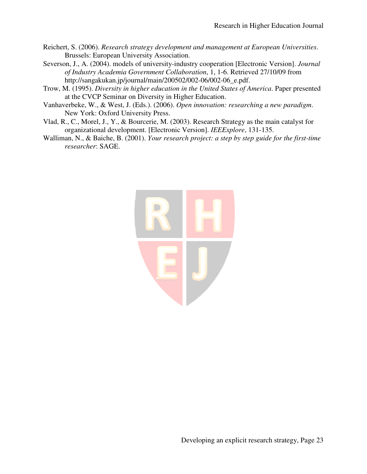- Reichert, S. (2006). *Research strategy development and management at European Universities*. Brussels: European University Association.
- Severson, J., A. (2004). models of university-industry cooperation [Electronic Version]. *Journal of Industry Academia Government Collaboration*, 1, 1-6. Retrieved 27/10/09 from http://sangakukan.jp/journal/main/200502/002-06/002-06 e.pdf.
- Trow, M. (1995). *Diversity in higher education in the United States of America*. Paper presented at the CVCP Seminar on Diversity in Higher Education.
- Vanhaverbeke, W., & West, J. (Eds.). (2006). *Open innovation: researching a new paradigm*. New York: Oxford University Press.
- Vlad, R., C., Morel, J., Y., & Bourcerie, M. (2003). Research Strategy as the main catalyst for organizational development. [Electronic Version]. *IEEExplore*, 131-135.
- Walliman, N., & Baiche, B. (2001). *Your research project: a step by step guide for the first-time researcher*: SAGE.